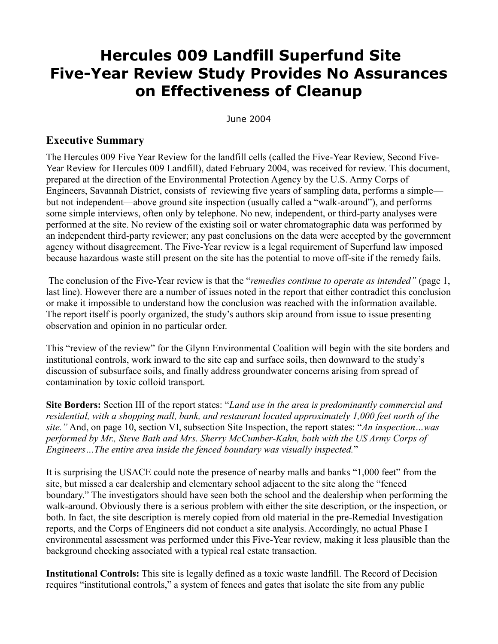## **Hercules 009 Landfill Superfund Site Five-Year Review Study Provides No Assurances on Effectiveness of Cleanup**

June 2004

## **Executive Summary**

The Hercules 009 Five Year Review for the landfill cells (called the Five-Year Review, Second Five-Year Review for Hercules 009 Landfill), dated February 2004, was received for review. This document, prepared at the direction of the Environmental Protection Agency by the U.S. Army Corps of Engineers, Savannah District, consists of reviewing five years of sampling data, performs a simple but not independent—above ground site inspection (usually called a "walk-around"), and performs some simple interviews, often only by telephone. No new, independent, or third-party analyses were performed at the site. No review of the existing soil or water chromatographic data was performed by an independent third-party reviewer; any past conclusions on the data were accepted by the government agency without disagreement. The Five-Year review is a legal requirement of Superfund law imposed because hazardous waste still present on the site has the potential to move off-site if the remedy fails.

The conclusion of the Five-Year review is that the "*remedies continue to operate as intended"* (page 1, last line). However there are a number of issues noted in the report that either contradict this conclusion or make it impossible to understand how the conclusion was reached with the information available. The report itself is poorly organized, the study's authors skip around from issue to issue presenting observation and opinion in no particular order.

This "review of the review" for the Glynn Environmental Coalition will begin with the site borders and institutional controls, work inward to the site cap and surface soils, then downward to the study's discussion of subsurface soils, and finally address groundwater concerns arising from spread of contamination by toxic colloid transport.

**Site Borders:** Section III of the report states: "*Land use in the area is predominantly commercial and residential, with a shopping mall, bank, and restaurant located approximately 1,000 feet north of the site."* And, on page 10, section VI, subsection Site Inspection, the report states: "*An inspection…was performed by Mr., Steve Bath and Mrs. Sherry McCumber-Kahn, both with the US Army Corps of Engineers…The entire area inside the fenced boundary was visually inspected.*"

It is surprising the USACE could note the presence of nearby malls and banks "1,000 feet" from the site, but missed a car dealership and elementary school adjacent to the site along the "fenced boundary." The investigators should have seen both the school and the dealership when performing the walk-around. Obviously there is a serious problem with either the site description, or the inspection, or both. In fact, the site description is merely copied from old material in the pre-Remedial Investigation reports, and the Corps of Engineers did not conduct a site analysis. Accordingly, no actual Phase I environmental assessment was performed under this Five-Year review, making it less plausible than the background checking associated with a typical real estate transaction.

**Institutional Controls:** This site is legally defined as a toxic waste landfill. The Record of Decision requires "institutional controls," a system of fences and gates that isolate the site from any public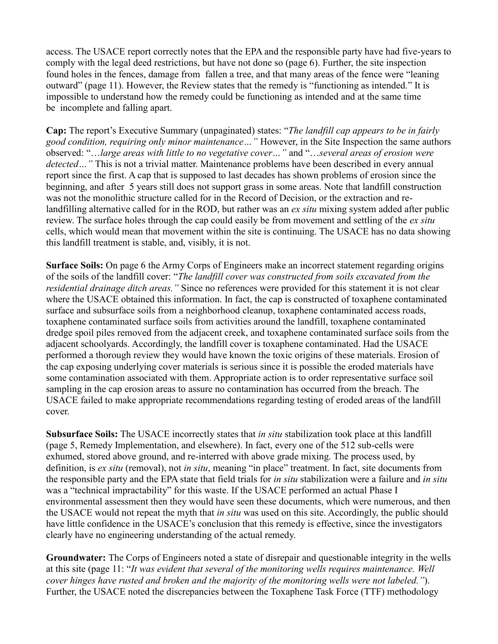access. The USACE report correctly notes that the EPA and the responsible party have had five-years to comply with the legal deed restrictions, but have not done so (page 6). Further, the site inspection found holes in the fences, damage from fallen a tree, and that many areas of the fence were "leaning outward" (page 11). However, the Review states that the remedy is "functioning as intended." It is impossible to understand how the remedy could be functioning as intended and at the same time be incomplete and falling apart.

**Cap:** The report's Executive Summary (unpaginated) states: "*The landfill cap appears to be in fairly good condition, requiring only minor maintenance…"* However, in the Site Inspection the same authors observed: "…*large areas with little to no vegetative cover…"* and "…*several areas of erosion were detected…"* This is not a trivial matter. Maintenance problems have been described in every annual report since the first. A cap that is supposed to last decades has shown problems of erosion since the beginning, and after 5 years still does not support grass in some areas. Note that landfill construction was not the monolithic structure called for in the Record of Decision, or the extraction and relandfilling alternative called for in the ROD, but rather was an *ex situ* mixing system added after public review. The surface holes through the cap could easily be from movement and settling of the *ex situ* cells, which would mean that movement within the site is continuing. The USACE has no data showing this landfill treatment is stable, and, visibly, it is not.

**Surface Soils:** On page 6 the Army Corps of Engineers make an incorrect statement regarding origins of the soils of the landfill cover: "*The landfill cover was constructed from soils excavated from the residential drainage ditch areas."* Since no references were provided for this statement it is not clear where the USACE obtained this information. In fact, the cap is constructed of toxaphene contaminated surface and subsurface soils from a neighborhood cleanup, toxaphene contaminated access roads, toxaphene contaminated surface soils from activities around the landfill, toxaphene contaminated dredge spoil piles removed from the adjacent creek, and toxaphene contaminated surface soils from the adjacent schoolyards. Accordingly, the landfill cover is toxaphene contaminated. Had the USACE performed a thorough review they would have known the toxic origins of these materials. Erosion of the cap exposing underlying cover materials is serious since it is possible the eroded materials have some contamination associated with them. Appropriate action is to order representative surface soil sampling in the cap erosion areas to assure no contamination has occurred from the breach. The USACE failed to make appropriate recommendations regarding testing of eroded areas of the landfill cover.

**Subsurface Soils:** The USACE incorrectly states that *in situ* stabilization took place at this landfill (page 5, Remedy Implementation, and elsewhere). In fact, every one of the 512 sub-cells were exhumed, stored above ground, and re-interred with above grade mixing. The process used, by definition, is *ex situ* (removal), not *in situ*, meaning "in place" treatment. In fact, site documents from the responsible party and the EPA state that field trials for *in situ* stabilization were a failure and *in situ* was a "technical impractability" for this waste. If the USACE performed an actual Phase I environmental assessment then they would have seen these documents, which were numerous, and then the USACE would not repeat the myth that *in situ* was used on this site. Accordingly, the public should have little confidence in the USACE's conclusion that this remedy is effective, since the investigators clearly have no engineering understanding of the actual remedy.

**Groundwater:** The Corps of Engineers noted a state of disrepair and questionable integrity in the wells at this site (page 11: "*It was evident that several of the monitoring wells requires maintenance. Well cover hinges have rusted and broken and the majority of the monitoring wells were not labeled."*). Further, the USACE noted the discrepancies between the Toxaphene Task Force (TTF) methodology